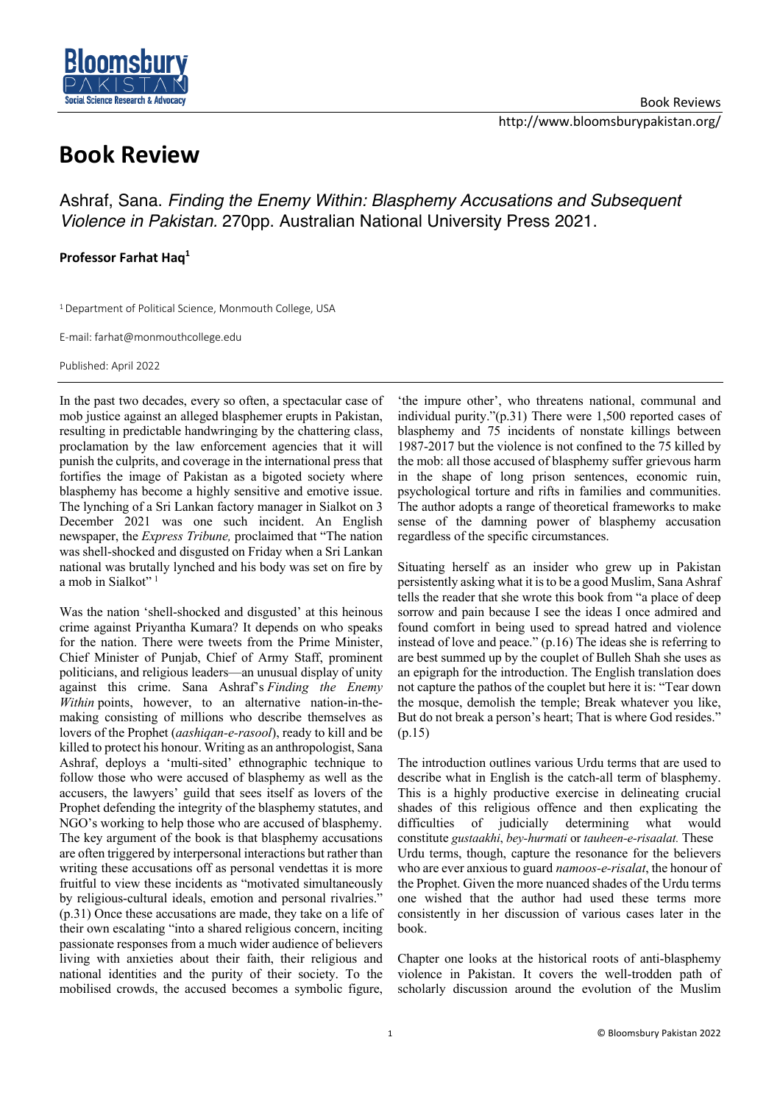

## **Book Review**

Ashraf, Sana. *Finding the Enemy Within: Blasphemy Accusations and Subsequent Violence in Pakistan.* 270pp. Australian National University Press 2021.

## **Professor Farhat Haq1**

<sup>1</sup> Department of Political Science, Monmouth College, USA

E-mail: farhat@monmouthcollege.edu

Published: April 2022

In the past two decades, every so often, a spectacular case of mob justice against an alleged blasphemer erupts in Pakistan, resulting in predictable handwringing by the chattering class, proclamation by the law enforcement agencies that it will punish the culprits, and coverage in the international press that fortifies the image of Pakistan as a bigoted society where blasphemy has become a highly sensitive and emotive issue. The lynching of a Sri Lankan factory manager in Sialkot on 3 December 2021 was one such incident. An English newspaper, the *Express Tribune,* proclaimed that "The nation was shell-shocked and disgusted on Friday when a Sri Lankan national was brutally lynched and his body was set on fire by a mob in Sialkot"<sup>1</sup>

Was the nation 'shell-shocked and disgusted' at this heinous crime against Priyantha Kumara? It depends on who speaks for the nation. There were tweets from the Prime Minister, Chief Minister of Punjab, Chief of Army Staff, prominent politicians, and religious leaders—an unusual display of unity against this crime. Sana Ashraf's *Finding the Enemy Within* points, however, to an alternative nation-in-themaking consisting of millions who describe themselves as lovers of the Prophet (*aashiqan-e-rasool*), ready to kill and be killed to protect his honour. Writing as an anthropologist, Sana Ashraf, deploys a 'multi-sited' ethnographic technique to follow those who were accused of blasphemy as well as the accusers, the lawyers' guild that sees itself as lovers of the Prophet defending the integrity of the blasphemy statutes, and NGO's working to help those who are accused of blasphemy. The key argument of the book is that blasphemy accusations are often triggered by interpersonal interactions but rather than writing these accusations off as personal vendettas it is more fruitful to view these incidents as "motivated simultaneously by religious-cultural ideals, emotion and personal rivalries." (p.31) Once these accusations are made, they take on a life of their own escalating "into a shared religious concern, inciting passionate responses from a much wider audience of believers living with anxieties about their faith, their religious and national identities and the purity of their society. To the mobilised crowds, the accused becomes a symbolic figure,

'the impure other', who threatens national, communal and individual purity."(p.31) There were 1,500 reported cases of blasphemy and 75 incidents of nonstate killings between 1987-2017 but the violence is not confined to the 75 killed by the mob: all those accused of blasphemy suffer grievous harm in the shape of long prison sentences, economic ruin, psychological torture and rifts in families and communities. The author adopts a range of theoretical frameworks to make sense of the damning power of blasphemy accusation regardless of the specific circumstances.

Situating herself as an insider who grew up in Pakistan persistently asking what it is to be a good Muslim, Sana Ashraf tells the reader that she wrote this book from "a place of deep sorrow and pain because I see the ideas I once admired and found comfort in being used to spread hatred and violence instead of love and peace." (p.16) The ideas she is referring to are best summed up by the couplet of Bulleh Shah she uses as an epigraph for the introduction. The English translation does not capture the pathos of the couplet but here it is: "Tear down the mosque, demolish the temple; Break whatever you like, But do not break a person's heart; That is where God resides." (p.15)

The introduction outlines various Urdu terms that are used to describe what in English is the catch-all term of blasphemy. This is a highly productive exercise in delineating crucial shades of this religious offence and then explicating the difficulties of judicially determining what would constitute *gustaakhi*, *bey-hurmati* or *tauheen-e-risaalat.* These Urdu terms, though, capture the resonance for the believers who are ever anxious to guard *namoos-e-risalat*, the honour of the Prophet. Given the more nuanced shades of the Urdu terms one wished that the author had used these terms more consistently in her discussion of various cases later in the book.

Chapter one looks at the historical roots of anti-blasphemy violence in Pakistan. It covers the well-trodden path of scholarly discussion around the evolution of the Muslim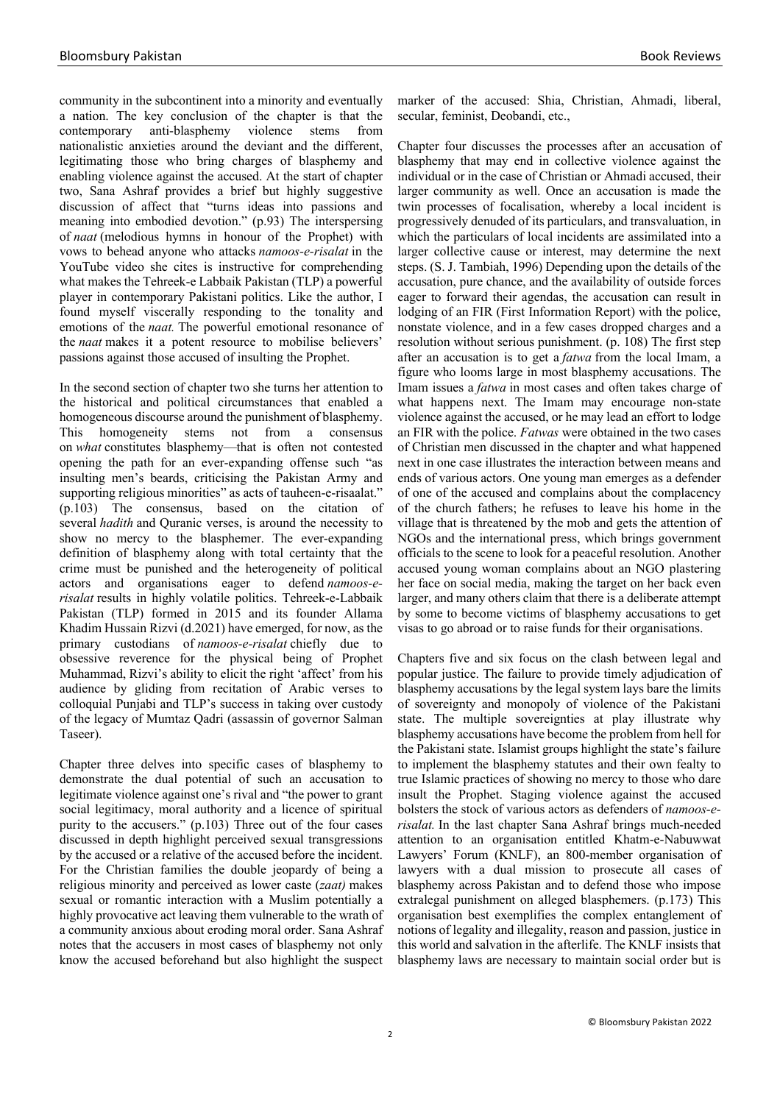community in the subcontinent into a minority and eventually a nation. The key conclusion of the chapter is that the contemporary anti-blasphemy violence stems from nationalistic anxieties around the deviant and the different, legitimating those who bring charges of blasphemy and enabling violence against the accused. At the start of chapter two, Sana Ashraf provides a brief but highly suggestive discussion of affect that "turns ideas into passions and meaning into embodied devotion." (p.93) The interspersing of *naat* (melodious hymns in honour of the Prophet) with vows to behead anyone who attacks *namoos-e-risalat* in the YouTube video she cites is instructive for comprehending what makes the Tehreek-e Labbaik Pakistan (TLP) a powerful player in contemporary Pakistani politics. Like the author, I found myself viscerally responding to the tonality and emotions of the *naat.* The powerful emotional resonance of the *naat* makes it a potent resource to mobilise believers' passions against those accused of insulting the Prophet.

In the second section of chapter two she turns her attention to the historical and political circumstances that enabled a homogeneous discourse around the punishment of blasphemy. This homogeneity stems not from a consensus on *what* constitutes blasphemy—that is often not contested opening the path for an ever-expanding offense such "as insulting men's beards, criticising the Pakistan Army and supporting religious minorities" as acts of tauheen-e-risaalat." (p.103) The consensus, based on the citation of several *hadith* and Quranic verses, is around the necessity to show no mercy to the blasphemer. The ever-expanding definition of blasphemy along with total certainty that the crime must be punished and the heterogeneity of political actors and organisations eager to defend *namoos-erisalat* results in highly volatile politics. Tehreek-e-Labbaik Pakistan (TLP) formed in 2015 and its founder Allama Khadim Hussain Rizvi (d.2021) have emerged, for now, as the primary custodians of *namoos-e-risalat* chiefly due to obsessive reverence for the physical being of Prophet Muhammad, Rizvi's ability to elicit the right 'affect' from his audience by gliding from recitation of Arabic verses to colloquial Punjabi and TLP's success in taking over custody of the legacy of Mumtaz Qadri (assassin of governor Salman Taseer).

Chapter three delves into specific cases of blasphemy to demonstrate the dual potential of such an accusation to legitimate violence against one's rival and "the power to grant social legitimacy, moral authority and a licence of spiritual purity to the accusers." (p.103) Three out of the four cases discussed in depth highlight perceived sexual transgressions by the accused or a relative of the accused before the incident. For the Christian families the double jeopardy of being a religious minority and perceived as lower caste (*zaat)* makes sexual or romantic interaction with a Muslim potentially a highly provocative act leaving them vulnerable to the wrath of a community anxious about eroding moral order. Sana Ashraf notes that the accusers in most cases of blasphemy not only know the accused beforehand but also highlight the suspect

marker of the accused: Shia, Christian, Ahmadi, liberal, secular, feminist, Deobandi, etc.,

Chapter four discusses the processes after an accusation of blasphemy that may end in collective violence against the individual or in the case of Christian or Ahmadi accused, their larger community as well. Once an accusation is made the twin processes of focalisation, whereby a local incident is progressively denuded of its particulars, and transvaluation, in which the particulars of local incidents are assimilated into a larger collective cause or interest, may determine the next steps. (S. J. Tambiah, 1996) Depending upon the details of the accusation, pure chance, and the availability of outside forces eager to forward their agendas, the accusation can result in lodging of an FIR (First Information Report) with the police, nonstate violence, and in a few cases dropped charges and a resolution without serious punishment. (p. 108) The first step after an accusation is to get a *fatwa* from the local Imam, a figure who looms large in most blasphemy accusations. The Imam issues a *fatwa* in most cases and often takes charge of what happens next. The Imam may encourage non-state violence against the accused, or he may lead an effort to lodge an FIR with the police. *Fatwas* were obtained in the two cases of Christian men discussed in the chapter and what happened next in one case illustrates the interaction between means and ends of various actors. One young man emerges as a defender of one of the accused and complains about the complacency of the church fathers; he refuses to leave his home in the village that is threatened by the mob and gets the attention of NGOs and the international press, which brings government officials to the scene to look for a peaceful resolution. Another accused young woman complains about an NGO plastering her face on social media, making the target on her back even larger, and many others claim that there is a deliberate attempt by some to become victims of blasphemy accusations to get visas to go abroad or to raise funds for their organisations.

Chapters five and six focus on the clash between legal and popular justice. The failure to provide timely adjudication of blasphemy accusations by the legal system lays bare the limits of sovereignty and monopoly of violence of the Pakistani state. The multiple sovereignties at play illustrate why blasphemy accusations have become the problem from hell for the Pakistani state. Islamist groups highlight the state's failure to implement the blasphemy statutes and their own fealty to true Islamic practices of showing no mercy to those who dare insult the Prophet. Staging violence against the accused bolsters the stock of various actors as defenders of *namoos-erisalat.* In the last chapter Sana Ashraf brings much-needed attention to an organisation entitled Khatm-e-Nabuwwat Lawyers' Forum (KNLF), an 800-member organisation of lawyers with a dual mission to prosecute all cases of blasphemy across Pakistan and to defend those who impose extralegal punishment on alleged blasphemers. (p.173) This organisation best exemplifies the complex entanglement of notions of legality and illegality, reason and passion, justice in this world and salvation in the afterlife. The KNLF insists that blasphemy laws are necessary to maintain social order but is